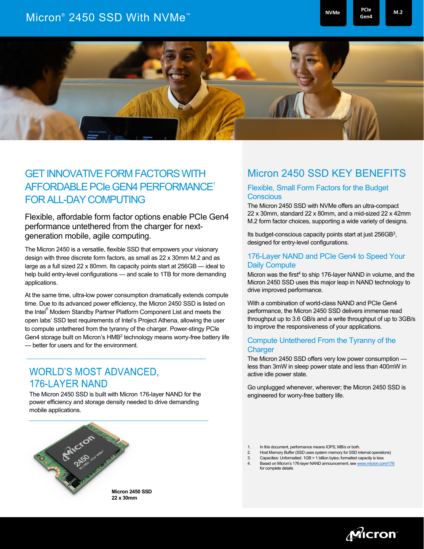# Micron® 2450 SSD With NVMe<sup>™</sup> Memory and Monthly and Monthly <sup>PCIe</sup> <sub>Gen4</sub> M<sub>.2</sub>

**NVMe**

**Gen4**



## GET INNOVATIVE FORM FACTORS WITH AFFORDABLE PCIe GEN4 PERFORMANCE1 FOR ALL-DAY COMPUTING

Flexible, affordable form factor options enable PCIe Gen4 performance untethered from the charger for nextgeneration mobile, agile computing.

The Micron 2450 is a versatile, flexible SSD that empowers your visionary design with three discrete form factors, as small as 22 x 30mm M.2 and as large as a full sized 22 x 80mm. Its capacity points start at 256GB — ideal to help build entry-level configurations — and scale to 1TB for more demanding applications.

At the same time, ultra-low power consumption dramatically extends compute time. Due to its advanced power efficiency, the Micron 2450 SSD is listed on the Intel® Modern Standby Partner Platform Component List and meets the open labs' SSD test requirements of Intel's Project Athena, allowing the user to compute untethered from the tyranny of the charger. Power-stingy PCIe Gen4 storage built on Micron's HMB2 technology means worry-free battery life — better for users and for the environment.

### **WORLD'S MOST ADVANCED, 176-LAYER NAND**

The Micron 2450 SSD is built with Micron 176-layer NAND for the power efficiency and storage density needed to drive demanding mobile applications.



**22 x 30mm**

### Micron 2450 SSD KEY BENEFITS

#### Flexible, Small Form Factors for the Budget **Conscious**

The Micron 2450 SSD with NVMe offers an ultra-compact 22 x 30mm, standard 22 x 80mm, and a mid-sized 22 x 42mm M.2 form factor choices, supporting a wide variety of designs.

Its budget-conscious capacity points start at just 256GB<sup>3</sup>, designed for entry-level configurations.

#### 176-Layer NAND and PCIe Gen4 to Speed Your Daily Compute

Micron was the first<sup>4</sup> to ship 176-layer NAND in volume, and the Micron 2450 SSD uses this major leap in NAND technology to drive improved performance.

With a combination of world-class NAND and PCIe Gen4 performance, the Micron 2450 SSD delivers immense read throughput up to 3.6 GB/s and a write throughput of up to 3GB/s to improve the responsiveness of your applications.

#### Compute Untethered From the Tyranny of the Charger

The Micron 2450 SSD offers very low power consumption less than 3mW in sleep power state and less than 400mW in active idle power state.

Go unplugged whenever, wherever; the Micron 2450 SSD is engineered for worry-free battery life.

- 2. Host Memory Buffer (SSD uses system memory for SSD internal operations)
- 3. Capacities: Unformatted. 1GB = 1 billion bytes; formatted capacity is less
- 4. Based on Micron's 176-layer NAND announcement; se[e www.micron.com/176](http://www.micron.com/176) for complete detail



<sup>1.</sup> In this document, performance means IOPS, MB/s or both.